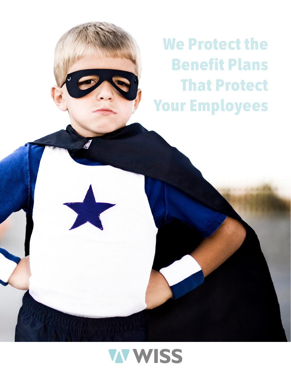We Protect the Benefit Plans That Protect Your Employees